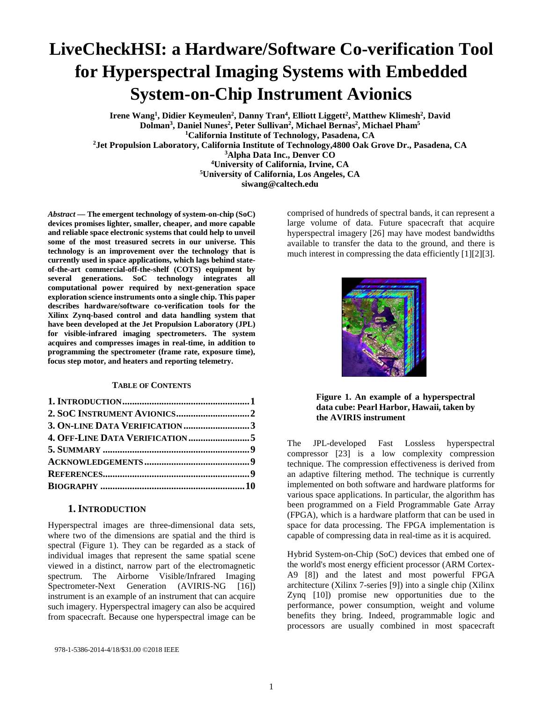# **LiveCheckHSI: a Hardware/Software Co-verification Tool for Hyperspectral Imaging Systems with Embedded System-on-Chip Instrument Avionics**

Irene Wang<sup>1</sup>, Didier Keymeulen<sup>2</sup>, Danny Tran<sup>4</sup>, Elliott Liggett<sup>2</sup>, Matthew Klimesh<sup>2</sup>, David **Dolman3 , Daniel Nunes2 , Peter Sullivan2 , Michael Bernas2 , Michael Pham5 California Institute of Technology, Pasadena, CA Jet Propulsion Laboratory, California Institute of Technology,4800 Oak Grove Dr., Pasadena, CA Alpha Data Inc., Denver CO University of California, Irvine, CA University of California, Los Angeles, CA siwang@caltech.edu**

*Abstract* **— The emergent technology of system-on-chip (SoC) devices promises lighter, smaller, cheaper, and more capable and reliable space electronic systems that could help to unveil some of the most treasured secrets in our universe. This technology is an improvement over the technology that is currently used in space applications, which lags behind stateof-the-art commercial-off-the-shelf (COTS) equipment by several generations. SoC technology integrates all computational power required by next-generation space exploration science instruments onto a single chip. This paper describes hardware/software co-verification tools for the Xilinx Zynq-based control and data handling system that have been developed at the Jet Propulsion Laboratory (JPL) for visible-infrared imaging spectrometers. The system acquires and compresses images in real-time, in addition to programming the spectrometer (frame rate, exposure time), focus step motor, and heaters and reporting telemetry.**

## **TABLE OF CONTENTS**

| 3. ON-LINE DATA VERIFICATION 3 |  |
|--------------------------------|--|
|                                |  |
|                                |  |
|                                |  |
|                                |  |
|                                |  |
|                                |  |

## **1. INTRODUCTION**

<span id="page-0-1"></span><span id="page-0-0"></span>Hyperspectral images are three-dimensional data sets, where two of the dimensions are spatial and the third is spectral (Figure 1). They can be regarded as a stack of individual images that represent the same spatial scene viewed in a distinct, narrow part of the electromagnetic spectrum. The Airborne Visible/Infrared Imaging Spectrometer-Next Generation (AVIRIS-NG [16]) instrument is an example of an instrument that can acquire such imagery. Hyperspectral imagery can also be acquired from spacecraft. Because one hyperspectral image can be comprised of hundreds of spectral bands, it can represent a large volume of data. Future spacecraft that acquire hyperspectral imagery [26] may have modest bandwidths available to transfer the data to the ground, and there is much interest in compressing the data efficiently [1][2][3].



**Figure 1. An example of a hyperspectral data cube: Pearl Harbor, Hawaii, taken by the AVIRIS instrument**

The JPL-developed Fast Lossless hyperspectral compressor [23] is a low complexity compression technique. The compression effectiveness is derived from an adaptive filtering method. The technique is currently implemented on both software and hardware platforms for various space applications. In particular, the algorithm has been programmed on a Field Programmable Gate Array (FPGA), which is a hardware platform that can be used in space for data processing. The FPGA implementation is capable of compressing data in real-time as it is acquired.

Hybrid System-on-Chip (SoC) devices that embed one of the world's most energy efficient processor (ARM Cortex-A9 [8]) and the latest and most powerful FPGA architecture (Xilinx 7-series [9]) into a single chip (Xilinx Zynq [10]) promise new opportunities due to the performance, power consumption, weight and volume benefits they bring. Indeed, programmable logic and processors are usually combined in most spacecraft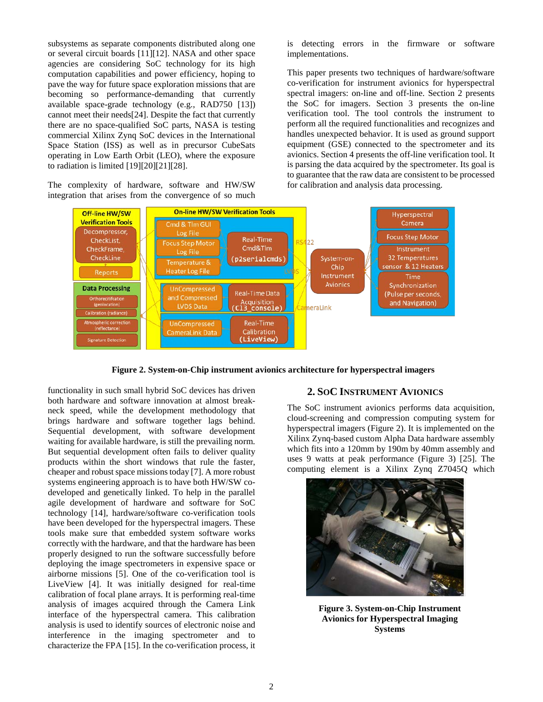subsystems as separate components distributed along one or several circuit boards [11][12]. NASA and other space agencies are considering SoC technology for its high computation capabilities and power efficiency, hoping to pave the way for future space exploration missions that are becoming so performance-demanding that currently available space-grade technology (e.g., RAD750 [13]) cannot meet their needs[24]. Despite the fact that currently there are no space-qualified SoC parts, NASA is testing commercial Xilinx Zynq SoC devices in the International Space Station (ISS) as well as in precursor CubeSats operating in Low Earth Orbit (LEO), where the exposure to radiation is limited [19][20][21][28].

The complexity of hardware, software and HW/SW integration that arises from the convergence of so much is detecting errors in the firmware or software implementations.

This paper presents two techniques of hardware/software co-verification for instrument avionics for hyperspectral spectral imagers: on-line and off-line. Section 2 presents the SoC for imagers. Section 3 presents the on-line verification tool. The tool controls the instrument to perform all the required functionalities and recognizes and handles unexpected behavior. It is used as ground support equipment (GSE) connected to the spectrometer and its avionics. Section 4 presents the off-line verification tool. It is parsing the data acquired by the spectrometer. Its goal is to guarantee that the raw data are consistent to be processed for calibration and analysis data processing.



**Figure 2. System-on-Chip instrument avionics architecture for hyperspectral imagers**

functionality in such small hybrid SoC devices has driven both hardware and software innovation at almost breakneck speed, while the development methodology that brings hardware and software together lags behind. Sequential development, with software development waiting for available hardware, is still the prevailing norm. But sequential development often fails to deliver quality products within the short windows that rule the faster, cheaper and robust space missions today [7]. A more robust systems engineering approach is to have both HW/SW codeveloped and genetically linked. To help in the parallel agile development of hardware and software for SoC technology [14], hardware/software co-verification tools have been developed for the hyperspectral imagers. These tools make sure that embedded system software works correctly with the hardware, and that the hardware has been properly designed to run the software successfully before deploying the image spectrometers in expensive space or airborne missions [5]. One of the co-verification tool is LiveView [4]. It was initially designed for real-time calibration of focal plane arrays. It is performing real-time analysis of images acquired through the Camera Link interface of the hyperspectral camera. This calibration analysis is used to identify sources of electronic noise and interference in the imaging spectrometer and to characterize the FPA [15]. In the co-verification process, it

## **2. SOC INSTRUMENT AVIONICS**

<span id="page-1-0"></span>The SoC instrument avionics performs data acquisition, cloud-screening and compression computing system for hyperspectral imagers (Figure 2). It is implemented on the Xilinx Zynq-based custom Alpha Data hardware assembly which fits into a 120mm by 190m by 40mm assembly and uses 9 watts at peak performance (Figure 3) [25]. The computing element is a Xilinx Zynq Z7045Q which



**Figure 3. System-on-Chip Instrument Avionics for Hyperspectral Imaging Systems**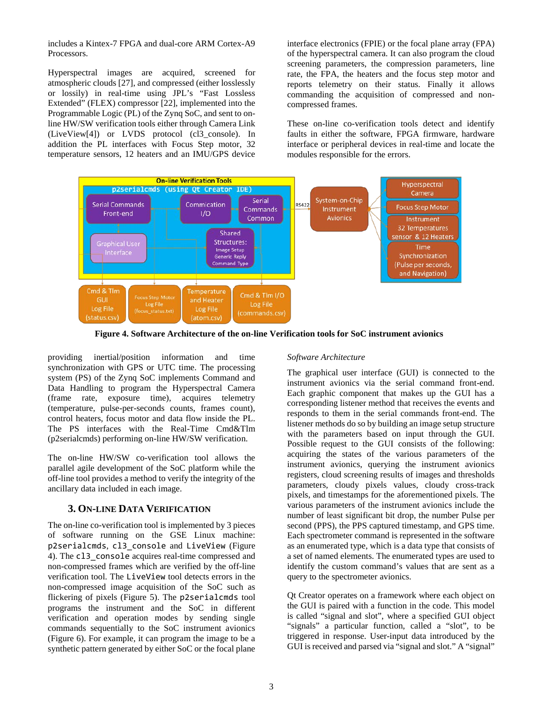includes a Kintex-7 FPGA and dual-core ARM Cortex-A9 Processors.

Hyperspectral images are acquired, screened for atmospheric clouds [27], and compressed (either losslessly or lossily) in real-time using JPL's "Fast Lossless Extended" (FLEX) compressor [22], implemented into the Programmable Logic (PL) of the Zynq SoC, and sent to online HW/SW verification tools either through Camera Link (LiveView[4]) or LVDS protocol (cl3\_console). In addition the PL interfaces with Focus Step motor, 32 temperature sensors, 12 heaters and an IMU/GPS device

interface electronics (FPIE) or the focal plane array (FPA) of the hyperspectral camera. It can also program the cloud screening parameters, the compression parameters, line rate, the FPA, the heaters and the focus step motor and reports telemetry on their status. Finally it allows commanding the acquisition of compressed and noncompressed frames.

These on-line co-verification tools detect and identify faults in either the software, FPGA firmware, hardware interface or peripheral devices in real-time and locate the modules responsible for the errors.



**Figure 4. Software Architecture of the on-line Verification tools for SoC instrument avionics** 

providing inertial/position information and time synchronization with GPS or UTC time. The processing system (PS) of the Zynq SoC implements Command and Data Handling to program the Hyperspectral Camera (frame rate, exposure time), acquires telemetry (temperature, pulse-per-seconds counts, frames count), control heaters, focus motor and data flow inside the PL. The PS interfaces with the Real-Time Cmd&Tlm (p2serialcmds) performing on-line HW/SW verification.

The on-line HW/SW co-verification tool allows the parallel agile development of the SoC platform while the off-line tool provides a method to verify the integrity of the ancillary data included in each image.

## **3. ON-LINE DATA VERIFICATION**

<span id="page-2-0"></span>The on-line co-verification tool is implemented by 3 pieces of software running on the GSE Linux machine: p2serialcmds, cl3\_console and LiveView (Figure 4). The cl3\_console acquires real-time compressed and non-compressed frames which are verified by the off-line verification tool. The LiveView tool detects errors in the non-compressed image acquisition of the SoC such as flickering of pixels (Figure 5). The p2serialcmds tool programs the instrument and the SoC in different verification and operation modes by sending single commands sequentially to the SoC instrument avionics (Figure 6). For example, it can program the image to be a synthetic pattern generated by either SoC or the focal plane

### *Software Architecture*

The graphical user interface (GUI) is connected to the instrument avionics via the serial command front-end. Each graphic component that makes up the GUI has a corresponding listener method that receives the events and responds to them in the serial commands front-end. The listener methods do so by building an image setup structure with the parameters based on input through the GUI. Possible request to the GUI consists of the following: acquiring the states of the various parameters of the instrument avionics, querying the instrument avionics registers, cloud screening results of images and thresholds parameters, cloudy pixels values, cloudy cross-track pixels, and timestamps for the aforementioned pixels. The various parameters of the instrument avionics include the number of least significant bit drop, the number Pulse per second (PPS), the PPS captured timestamp, and GPS time. Each spectrometer command is represented in the software as an enumerated type, which is a data type that consists of a set of named elements. The enumerated types are used to identify the custom command's values that are sent as a query to the spectrometer avionics.

Qt Creator operates on a framework where each object on the GUI is paired with a function in the code. This model is called "signal and slot", where a specified GUI object "signals" a particular function, called a "slot", to be triggered in response. User-input data introduced by the GUI is received and parsed via "signal and slot." A "signal"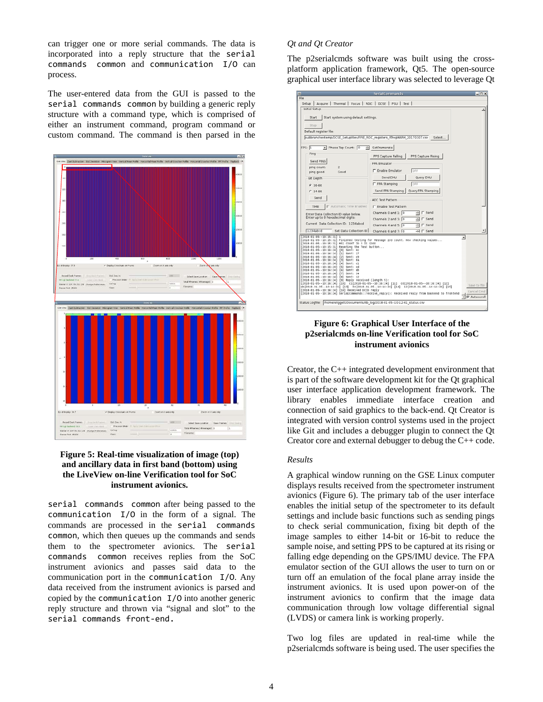can trigger one or more serial commands. The data is incorporated into a reply structure that the serial commands common and communication I/O can process.

The user-entered data from the GUI is passed to the serial commands common by building a generic reply structure with a command type, which is comprised of either an instrument command, program command or custom command. The command is then parsed in the



## **Figure 5: Real-time visualization of image (top) and ancillary data in first band (bottom) using the LiveView on-line Verification tool for SoC instrument avionics.**

serial commands common after being passed to the communication I/O in the form of a signal. The commands are processed in the serial commands common, which then queues up the commands and sends them to the spectrometer avionics. The serial commands common receives replies from the SoC instrument avionics and passes said data to the communication port in the communication I/O. Any data received from the instrument avionics is parsed and copied by the communication I/O into another generic reply structure and thrown via "signal and slot" to the serial commands front-end.

## *Qt and Qt Creator*

The p2serialcmds software was built using the crossplatform application framework, Qt5. The open-source graphical user interface library was selected to leverage Qt

|                                                                                              | SenalCommands                                                                                   | $-10X$                            |
|----------------------------------------------------------------------------------------------|-------------------------------------------------------------------------------------------------|-----------------------------------|
| File                                                                                         |                                                                                                 |                                   |
| Acquire   Thermal   Focus   ROIC   DCSE   PSU   Test  <br>Setup                              |                                                                                                 |                                   |
| <b>Initial Setup</b>                                                                         |                                                                                                 |                                   |
|                                                                                              |                                                                                                 |                                   |
| Start system using default settings.<br>Start                                                |                                                                                                 |                                   |
| Stop                                                                                         |                                                                                                 |                                   |
| Default register file:                                                                       |                                                                                                 |                                   |
|                                                                                              | subbranchestemp/DCSE_SetupRies/FPIE_ROIC_registers_RTregWARM_20170307.csv Select                |                                   |
|                                                                                              |                                                                                                 |                                   |
| FPS:<br>Phase Tap Count: 0                                                                   | SetFramerate                                                                                    |                                   |
| Ping                                                                                         |                                                                                                 |                                   |
|                                                                                              | PPS Capture Rising<br>PPS Capture Falling                                                       |                                   |
| Send PING                                                                                    | <b>FPA Emulator</b>                                                                             |                                   |
| ping count:<br>$\overline{z}$                                                                | <b>F</b> Enable Emulator<br>OFF                                                                 |                                   |
| Good<br>ping good:                                                                           |                                                                                                 |                                   |
| <b>Bit Depth</b>                                                                             | Send EMU<br><b>Query EMU</b>                                                                    |                                   |
| $6.16 - 0.0$                                                                                 | TOFF<br><b>FPA</b> Stamping                                                                     |                                   |
| $C = 14 - 0.6$                                                                               | Send FPA Stamping<br>Query FPA Stamping                                                         |                                   |
| Send                                                                                         |                                                                                                 |                                   |
|                                                                                              | ADC Test Pattern                                                                                |                                   |
| Automatic Time Enabled<br>TIME                                                               | <b>F</b> Enable Test Pattern                                                                    |                                   |
| Enter Data Collection ID value below.                                                        | Channels 0 and 1: 0<br>$\Gamma$ Send                                                            |                                   |
| Enter up to 8 hexadecimal digits:                                                            | Channels 2 and 3: 0<br>$\overline{+}$ $\overline{ }$ Send                                       |                                   |
| Current Data Collection ID: 1234abcd                                                         | Channels 4 and 5: 0<br>$\Gamma$ Send<br>쉬                                                       |                                   |
| 1234abcd<br>Set Data Collection ID                                                           | Channels 6 and 7: 0<br>$\exists$ $\sqcap$ Send                                                  |                                   |
| 2018-01-05--10:15:31] 1                                                                      | ᅬ                                                                                               |                                   |
| [2018-01-05--10:15:31] MSG COUNT ID 3 IS GOOD                                                | [2018-01-05--10:15:31] Finished testing for Message ID3 Count. Now checking values              |                                   |
| [2018-01-05--10:15:31] Reseting the Test button                                              |                                                                                                 |                                   |
| [2018-01-05--10:16:24] [0] Sent: 6c<br>$[2018-01-05-10:16:24]$ [1] Sent: 17                  |                                                                                                 |                                   |
| [2018-01-05--10:16:24] [2] Sent: c9<br>$[2018-01-05-10:16:24]$ [3] Sent: 8a                  |                                                                                                 |                                   |
| [2018-01-05--10:16:24] [4] Sent: c1                                                          |                                                                                                 |                                   |
| [2018-01-05--10:16:24] [5] Sent: cd<br>$[2018-01-05-10:16:24]$ [6] Sent: ab                  |                                                                                                 |                                   |
| [2018-01-05--10:16:24] [7] Sent: 34                                                          |                                                                                                 |                                   |
| [2018-01-05--10:16:24] [8] Sent: 12<br>[2018-01-05--10:16:24] [9] Reply received (length 5): |                                                                                                 |                                   |
|                                                                                              | [2018-01-05--10:16:24] [10] c1[2018-01-05--10:16:24] [11] cd[2018-01-05--10:16:24] [12]         | Save to file                      |
| [2018-01-05--10:16:24] [16] Received DCID reply                                              | ab[2010-01-05--10:16:24] [13] 34[2010-01-05--10:16:24] [14] 12[2010-01-05--10:16:24] [15]       |                                   |
|                                                                                              | [2018-01-05--10:16:24] SerialCommands::receive_reply(): Received reply from backend to frontend | Cancel Cmd<br><b>V</b> Autoscroll |
|                                                                                              |                                                                                                 |                                   |

**Figure 6: Graphical User Interface of the p2serialcmds on-line Verification tool for SoC instrument avionics**

Creator, the C++ integrated development environment that is part of the software development kit for the Qt graphical user interface application development framework. The library enables immediate interface creation and connection of said graphics to the back-end. Qt Creator is integrated with version control systems used in the project like Git and includes a debugger plugin to connect the Qt Creator core and external debugger to debug the C++ code.

### *Results*

A graphical window running on the GSE Linux computer displays results received from the spectrometer instrument avionics (Figure 6). The primary tab of the user interface enables the initial setup of the spectrometer to its default settings and include basic functions such as sending pings to check serial communication, fixing bit depth of the image samples to either 14-bit or 16-bit to reduce the sample noise, and setting PPS to be captured at its rising or falling edge depending on the GPS/IMU device. The FPA emulator section of the GUI allows the user to turn on or turn off an emulation of the focal plane array inside the instrument avionics. It is used upon power-on of the instrument avionics to confirm that the image data communication through low voltage differential signal (LVDS) or camera link is working properly.

Two log files are updated in real-time while the p2serialcmds software is being used. The user specifies the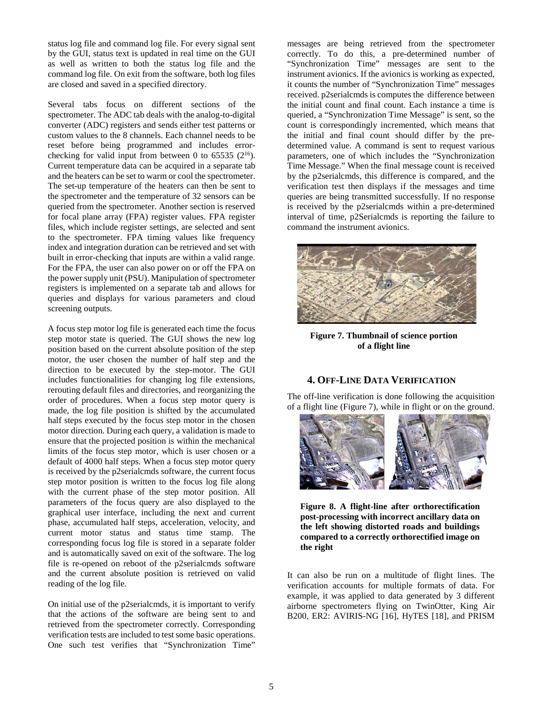status log file and command log file. For every signal sent by the GUI, status text is updated in real time on the GUI as well as written to both the status log file and the command log file. On exit from the software, both log files are closed and saved in a specified directory.

Several tabs focus on different sections of the spectrometer. The ADC tab deals with the analog-to-digital converter (ADC) registers and sends either test patterns or custom values to the 8 channels. Each channel needs to be reset before being programmed and includes errorchecking for valid input from between 0 to 65535  $(2^{16})$ . Current temperature data can be acquired in a separate tab and the heaters can be set to warm or cool the spectrometer. The set-up temperature of the heaters can then be sent to the spectrometer and the temperature of 32 sensors can be queried from the spectrometer. Another section is reserved for focal plane array (FPA) register values. FPA register files, which include register settings, are selected and sent to the spectrometer. FPA timing values like frequency index and integration duration can be retrieved and set with built in error-checking that inputs are within a valid range. For the FPA, the user can also power on or off the FPA on the power supply unit (PSU). Manipulation of spectrometer registers is implemented on a separate tab and allows for queries and displays for various parameters and cloud screening outputs.

A focus step motor log file is generated each time the focus step motor state is queried. The GUI shows the new log position based on the current absolute position of the step motor, the user chosen the number of half step and the direction to be executed by the step-motor. The GUI includes functionalities for changing log file extensions, rerouting default files and directories, and reorganizing the order of procedures. When a focus step motor query is made, the log file position is shifted by the accumulated half steps executed by the focus step motor in the chosen motor direction. During each query, a validation is made to ensure that the projected position is within the mechanical limits of the focus step motor, which is user chosen or a default of 4000 half steps. When a focus step motor query is received by the p2serialcmds software, the current focus step motor position is written to the focus log file along with the current phase of the step motor position. All parameters of the focus query are also displayed to the graphical user interface, including the next and current phase, accumulated half steps, acceleration, velocity, and current motor status and status time stamp. The corresponding focus log file is stored in a separate folder and is automatically saved on exit of the software. The log file is re-opened on reboot of the p2serialcmds software and the current absolute position is retrieved on valid reading of the log file.

On initial use of the p2serialcmds, it is important to verify that the actions of the software are being sent to and retrieved from the spectrometer correctly. Corresponding verification tests are included to test some basic operations. One such test verifies that "Synchronization Time"

messages are being retrieved from the spectrometer correctly. To do this, a pre-determined number of "Synchronization Time" messages are sent to the instrument avionics. If the avionics is working as expected, it counts the number of "Synchronization Time" messages received. p2serialcmds is computes the difference between the initial count and final count. Each instance a time is queried, a "Synchronization Time Message" is sent, so the count is correspondingly incremented, which means that the initial and final count should differ by the predetermined value. A command is sent to request various parameters, one of which includes the "Synchronization Time Message." When the final message count is received by the p2serialcmds, this difference is compared, and the verification test then displays if the messages and time queries are being transmitted successfully. If no response is received by the p2serialcmds within a pre-determined interval of time, p2Serialcmds is reporting the failure to command the instrument avionics.



**Figure 7. Thumbnail of science portion of a flight line**

# **4. OFF-LINE DATA VERIFICATION**

<span id="page-4-0"></span>The off-line verification is done following the acquisition of a flight line (Figure 7), while in flight or on the ground.



**Figure 8. A flight-line after orthorectification post-processing with incorrect ancillary data on the left showing distorted roads and buildings compared to a correctly orthorectified image on the right**

It can also be run on a multitude of flight lines. The verification accounts for multiple formats of data. For example, it was applied to data generated by 3 different airborne spectrometers flying on TwinOtter, King Air B200, ER2: AVIRIS-NG [16], HyTES [18], and PRISM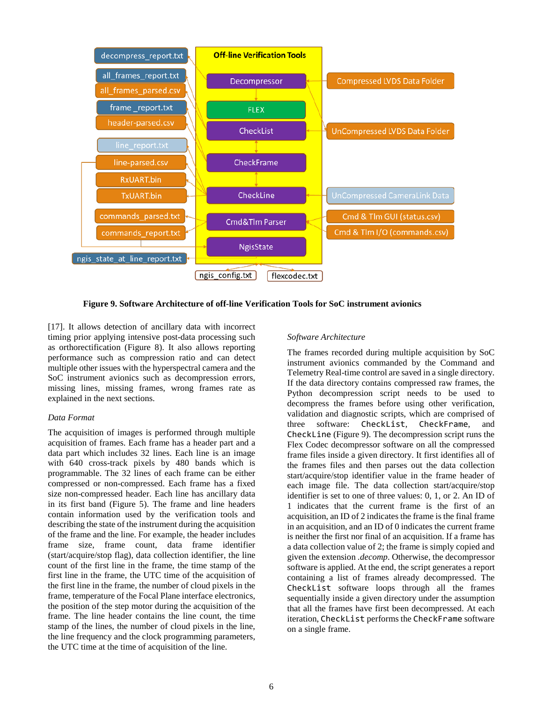

**Figure 9. Software Architecture of off-line Verification Tools for SoC instrument avionics**

[17]. It allows detection of ancillary data with incorrect timing prior applying intensive post-data processing such as orthorectification (Figure 8). It also allows reporting performance such as compression ratio and can detect multiple other issues with the hyperspectral camera and the SoC instrument avionics such as decompression errors, missing lines, missing frames, wrong frames rate as explained in the next sections.

## *Data Format*

The acquisition of images is performed through multiple acquisition of frames. Each frame has a header part and a data part which includes 32 lines. Each line is an image with 640 cross-track pixels by 480 bands which is programmable. The 32 lines of each frame can be either compressed or non-compressed. Each frame has a fixed size non-compressed header. Each line has ancillary data in its first band (Figure 5). The frame and line headers contain information used by the verification tools and describing the state of the instrument during the acquisition of the frame and the line. For example, the header includes frame size, frame count, data frame identifier (start/acquire/stop flag), data collection identifier, the line count of the first line in the frame, the time stamp of the first line in the frame, the UTC time of the acquisition of the first line in the frame, the number of cloud pixels in the frame, temperature of the Focal Plane interface electronics, the position of the step motor during the acquisition of the frame. The line header contains the line count, the time stamp of the lines, the number of cloud pixels in the line, the line frequency and the clock programming parameters, the UTC time at the time of acquisition of the line.

## *Software Architecture*

The frames recorded during multiple acquisition by SoC instrument avionics commanded by the Command and Telemetry Real-time control are saved in a single directory. If the data directory contains compressed raw frames, the Python decompression script needs to be used to decompress the frames before using other verification, validation and diagnostic scripts, which are comprised of three software: CheckList, CheckFrame, and CheckLine (Figure 9). The decompression script runs the Flex Codec decompressor software on all the compressed frame files inside a given directory. It first identifies all of the frames files and then parses out the data collection start/acquire/stop identifier value in the frame header of each image file. The data collection start/acquire/stop identifier is set to one of three values: 0, 1, or 2. An ID of 1 indicates that the current frame is the first of an acquisition, an ID of 2 indicates the frame is the final frame in an acquisition, and an ID of 0 indicates the current frame is neither the first nor final of an acquisition. If a frame has a data collection value of 2; the frame is simply copied and given the extension *.decomp*. Otherwise, the decompressor software is applied. At the end, the script generates a report containing a list of frames already decompressed. The CheckList software loops through all the frames sequentially inside a given directory under the assumption that all the frames have first been decompressed. At each iteration, CheckList performs the CheckFrame software on a single frame.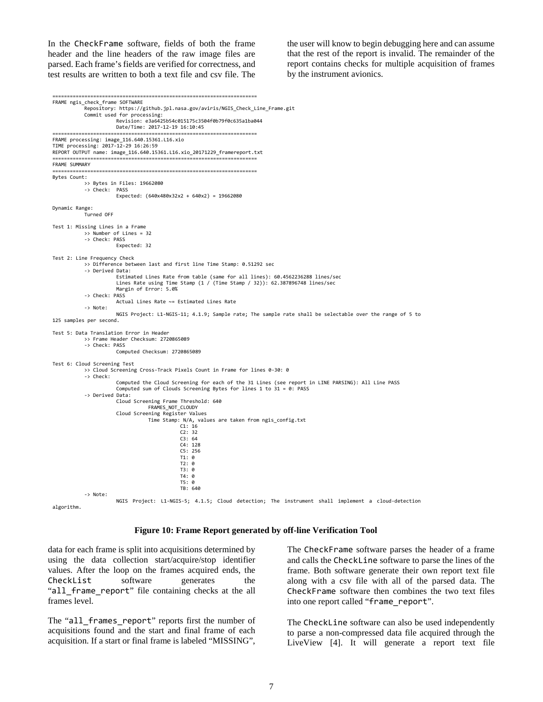In the CheckFrame software, fields of both the frame header and the line headers of the raw image files are parsed. Each frame's fields are verified for correctness, and test results are written to both a text file and csv file. The

the user will know to begin debugging here and can assume that the rest of the report is invalid. The remainder of the report contains checks for multiple acquisition of frames by the instrument avionics.

====================================================================== FRAME ngis\_check\_frame SOFTWARE Repository: https://github.jpl.nasa.gov/aviris/NGIS\_Check\_Line\_Frame.git Commit used for processing: Revision: e3a6425b54c015175c3504f0b79f0c635a1ba044 Date/Time: 2017-12-19 16:10:45 ====================================================================== FRAME processing: image\_116.640.15361.L16.xio TIME processing: 2017-12-29 16:26:59 REPORT OUTPUT name: image\_116.640.15361.L16.xio\_20171229\_framereport.txt ====================================================================== FRAME SUMMARY ====================================================================== Bytes Count: >> Bytes in Files: 19662080 -> Check: PASS Expected: (640x480x32x2 + 640x2) = 19662080 Dynamic Range: Turned OFF Test 1: Missing Lines in a Frame >> Number of Lines = 32 -> Check: PASS Expected: 32 Test 2: Line Frequency Check >> Difference between last and first line Time Stamp: 0.51292 sec -> Derived Data: Estimated Lines Rate from table (same for all lines): 60.4562236288 lines/sec Lines Rate using Time Stamp (1 / (Time Stamp / 32)): 62.387896748 lines/sec Margin of Error: 5.0% -> Check: PASS Actual Lines Rate ~= Estimated Lines Rate -> Note: NGIS Project: L1-NGIS-11; 4.1.9; Sample rate; The sample rate shall be selectable over the range of 5 to 125 samples per second. Test 5: Data Translation Error in Header >> Frame Header Checksum: 2720865089 -> Check: PASS Computed Checksum: 2720865089 Test 6: Cloud Screening Test >> Cloud Screening Cross-Track Pixels Count in Frame for lines 0-30: 0 -> Check: Computed the Cloud Screening for each of the 31 Lines (see report in LINE PARSING): All Line PASS Computed sum of Clouds Screening Bytes for lines 1 to 31 = 0: PASS -> Derived Data: Cloud Screening Frame Threshold: 640 FRAMES\_NOT\_CLOUDY Cloud Screening Register Values Time Stamp: N/A, values are taken from ngis\_config.txt C1: 16 C2: 32 C3: 64 C4: 128 C5: 256 T1: 0 T2: 0 T3: 0  $TA: A$ T5: 0 TB: 640 -> Note: NGIS Project: L1-NGIS-5; 4.1.5; Cloud detection; The instrument shall implement a cloud-detection algorithm.

### **Figure 10: Frame Report generated by off-line Verification Tool**

data for each frame is split into acquisitions determined by using the data collection start/acquire/stop identifier values. After the loop on the frames acquired ends, the CheckList software generates the "all frame report" file containing checks at the all frames level.

The "all\_frames\_report" reports first the number of acquisitions found and the start and final frame of each acquisition. If a start or final frame is labeled "MISSING",

The CheckFrame software parses the header of a frame and calls the CheckLine software to parse the lines of the frame. Both software generate their own report text file along with a csv file with all of the parsed data. The CheckFrame software then combines the two text files into one report called "frame\_report".

The CheckLine software can also be used independently to parse a non-compressed data file acquired through the LiveView [4]. It will generate a report text file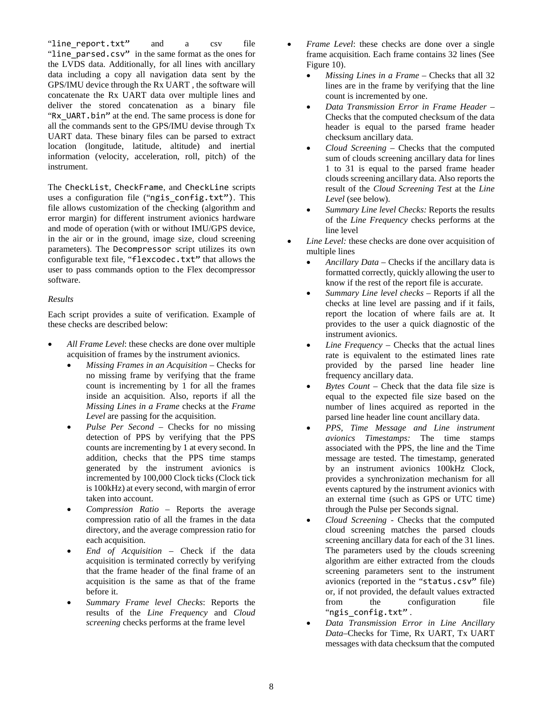"line\_report.txt" and a csv file "line\_parsed.csv" in the same format as the ones for the LVDS data. Additionally, for all lines with ancillary data including a copy all navigation data sent by the GPS/IMU device through the Rx UART , the software will concatenate the Rx UART data over multiple lines and deliver the stored concatenation as a binary file "Rx UART.bin" at the end. The same process is done for all the commands sent to the GPS/IMU devise through Tx UART data. These binary files can be parsed to extract location (longitude, latitude, altitude) and inertial information (velocity, acceleration, roll, pitch) of the instrument.

The CheckList, CheckFrame, and CheckLine scripts uses a configuration file ("ngis\_config.txt"). This file allows customization of the checking (algorithm and error margin) for different instrument avionics hardware and mode of operation (with or without IMU/GPS device, in the air or in the ground, image size, cloud screening parameters). The Decompressor script utilizes its own configurable text file, "flexcodec.txt" that allows the user to pass commands option to the Flex decompressor software.

## *Results*

Each script provides a suite of verification. Example of these checks are described below:

- All Frame Level: these checks are done over multiple acquisition of frames by the instrument avionics.
	- *Missing Frames in an Acquisition* Checks for no missing frame by verifying that the frame count is incrementing by 1 for all the frames inside an acquisition. Also, reports if all the *Missing Lines in a Frame* checks at the *Frame Level* are passing for the acquisition.
	- *Pulse Per Second* Checks for no missing detection of PPS by verifying that the PPS counts are incrementing by 1 at every second. In addition, checks that the PPS time stamps generated by the instrument avionics is incremented by 100,000 Clock ticks (Clock tick is 100kHz) at every second, with margin of error taken into account.
	- *Compression Ratio* Reports the average compression ratio of all the frames in the data directory, and the average compression ratio for each acquisition.
	- *End of Acquisition* Check if the data acquisition is terminated correctly by verifying that the frame header of the final frame of an acquisition is the same as that of the frame before it.
	- *Summary Frame level Checks*: Reports the results of the *Line Frequency* and *Cloud screening* checks performs at the frame level
- *Frame Level*: these checks are done over a single frame acquisition. Each frame contains 32 lines (See Figure 10).
	- *Missing Lines in a Frame* Checks that all 32 lines are in the frame by verifying that the line count is incremented by one.
	- *Data Transmission Error in Frame Header* Checks that the computed checksum of the data header is equal to the parsed frame header checksum ancillary data.
	- *Cloud Screening*  Checks that the computed sum of clouds screening ancillary data for lines 1 to 31 is equal to the parsed frame header clouds screening ancillary data. Also reports the result of the *Cloud Screening Test* at the *Line Level* (see below).
	- *Summary Line level Checks:* Reports the results of the *Line Frequency* checks performs at the line level
- Line Level: these checks are done over acquisition of multiple lines
	- *Ancillary Data* Checks if the ancillary data is formatted correctly, quickly allowing the user to know if the rest of the report file is accurate.
	- *Summary Line level checks* Reports if all the checks at line level are passing and if it fails, report the location of where fails are at. It provides to the user a quick diagnostic of the instrument avionics.
	- *Line Frequency* Checks that the actual lines rate is equivalent to the estimated lines rate provided by the parsed line header line frequency ancillary data.
	- *Bytes Count –* Check that the data file size is equal to the expected file size based on the number of lines acquired as reported in the parsed line header line count ancillary data.
	- *PPS, Time Message and Line instrument avionics Timestamps:* The time stamps associated with the PPS, the line and the Time message are tested. The timestamp, generated by an instrument avionics 100kHz Clock, provides a synchronization mechanism for all events captured by the instrument avionics with an external time (such as GPS or UTC time) through the Pulse per Seconds signal.
	- *Cloud Screening -* Checks that the computed cloud screening matches the parsed clouds screening ancillary data for each of the 31 lines. The parameters used by the clouds screening algorithm are either extracted from the clouds screening parameters sent to the instrument avionics (reported in the "status.csv" file) or, if not provided, the default values extracted from the configuration file "ngis\_config.txt" .
	- *Data Transmission Error in Line Ancillary Data–*Checks for Time, Rx UART, Tx UART messages with data checksum that the computed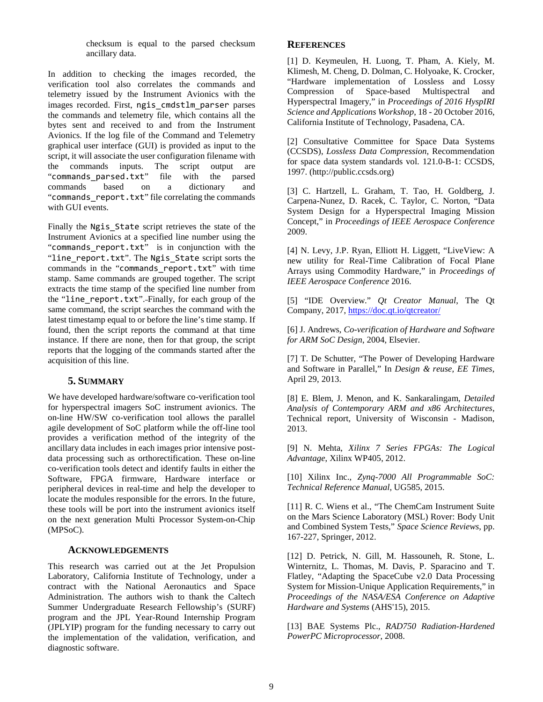checksum is equal to the parsed checksum ancillary data.

In addition to checking the images recorded, the verification tool also correlates the commands and telemetry issued by the Instrument Avionics with the images recorded. First, ngis\_cmdstlm\_parser parses the commands and telemetry file, which contains all the bytes sent and received to and from the Instrument Avionics. If the log file of the Command and Telemetry graphical user interface (GUI) is provided as input to the script, it will associate the user configuration filename with the commands inputs. The script output are "commands parsed.txt" file with the parsed commands based on a dictionary and "commands\_report.txt" file correlating the commands with GUI events.

Finally the Ngis\_State script retrieves the state of the Instrument Avionics at a specified line number using the "commands\_report.txt" is in conjunction with the "line\_report.txt". The Ngis\_State script sorts the commands in the "commands\_report.txt" with time stamp. Same commands are grouped together. The script extracts the time stamp of the specified line number from the "line\_report.txt". Finally, for each group of the same command, the script searches the command with the latest timestamp equal to or before the line's time stamp. If found, then the script reports the command at that time instance. If there are none, then for that group, the script reports that the logging of the commands started after the acquisition of this line.

# **5. SUMMARY**

<span id="page-8-0"></span>We have developed hardware/software co-verification tool for hyperspectral imagers SoC instrument avionics. The on-line HW/SW co-verification tool allows the parallel agile development of SoC platform while the off-line tool provides a verification method of the integrity of the ancillary data includes in each images prior intensive postdata processing such as orthorectification. These on-line co-verification tools detect and identify faults in either the Software, FPGA firmware, Hardware interface or peripheral devices in real-time and help the developer to locate the modules responsible for the errors. In the future, these tools will be port into the instrument avionics itself on the next generation Multi Processor System-on-Chip (MPSoC).

## **ACKNOWLEDGEMENTS**

<span id="page-8-1"></span>This research was carried out at the Jet Propulsion Laboratory, California Institute of Technology, under a contract with the National Aeronautics and Space Administration. The authors wish to thank the Caltech Summer Undergraduate Research Fellowship's (SURF) program and the JPL Year-Round Internship Program (JPLYIP) program for the funding necessary to carry out the implementation of the validation, verification, and diagnostic software.

## <span id="page-8-2"></span>**REFERENCES**

[1] D. Keymeulen, H. Luong, T. Pham, A. Kiely, M. Klimesh, M. Cheng, D. Dolman, C. Holyoake, K. Crocker, "Hardware implementation of Lossless and Lossy Compression of Space-based Multispectral and Hyperspectral Imagery," in *Proceedings of 2016 HyspIRI Science and Applications Workshop*, 18 - 20 October 2016, California Institute of Technology, Pasadena, CA.

[2] Consultative Committee for Space Data Systems (CCSDS), *Lossless Data Compression*, Recommendation for space data system standards vol. 121.0-B-1: CCSDS, 1997. [\(http://public.ccsds.org\)](http://public.ccsds.org/)

[3] C. Hartzell, L. Graham, T. Tao, H. Goldberg, J. Carpena-Nunez, D. Racek, C. Taylor, C. Norton, "Data System Design for a Hyperspectral Imaging Mission Concept," in *Proceedings of IEEE Aerospace Conference* 2009.

[4] N. Levy, J.P. Ryan, Elliott H. Liggett, "LiveView: A new utility for Real-Time Calibration of Focal Plane Arrays using Commodity Hardware," in *Proceedings of IEEE Aerospace Conference* 2016.

[5] "IDE Overview." *Qt Creator Manual*, The Qt Company, 2017,<https://doc.qt.io/qtcreator/>

[6] J. Andrews, *Co-verification of Hardware and Software for ARM SoC Design*, 2004, Elsevier.

[7] T. De Schutter, "The Power of Developing Hardware and Software in Parallel," In *Design & reuse, EE Times,* April 29, 2013.

[8] E. Blem, J. Menon, and K. Sankaralingam, *Detailed Analysis of Contemporary ARM and x86 Architectures*, Technical report, University of Wisconsin - Madison, 2013.

[9] N. Mehta, *Xilinx 7 Series FPGAs: The Logical Advantage*, Xilinx WP405, 2012.

[10] Xilinx Inc., *Zynq-7000 All Programmable SoC: Technical Reference Manual*, UG585, 2015.

[11] R. C. Wiens et al., "The ChemCam Instrument Suite on the Mars Science Laboratory (MSL) Rover: Body Unit and Combined System Tests," *Space Science Reviews*, pp. 167-227, Springer, 2012.

[12] D. Petrick, N. Gill, M. Hassouneh, R. Stone, L. Winternitz, L. Thomas, M. Davis, P. Sparacino and T. Flatley, "Adapting the SpaceCube v2.0 Data Processing System for Mission-Unique Application Requirements," in *Proceedings of the NASA/ESA Conference on Adaptive Hardware and Systems* (AHS'15), 2015.

[13] BAE Systems Plc., *RAD750 Radiation-Hardened PowerPC Microprocessor*, 2008.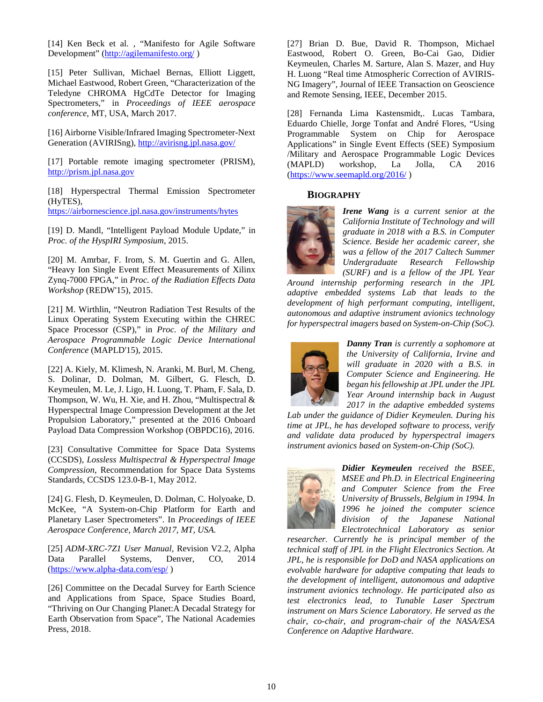[14] Ken Beck et al. , "Manifesto for Agile Software Development" [\(http://agilemanifesto.org/](http://agilemanifesto.org/) )

[15] Peter Sullivan, Michael Bernas, Elliott Liggett, Michael Eastwood, Robert Green, "Characterization of the Teledyne CHROMA HgCdTe Detector for Imaging Spectrometers," in *Proceedings of IEEE aerospace conference*, MT, USA, March 2017.

[16] Airborne Visible/Infrared Imaging Spectrometer-Next Generation (AVIRISng), <http://avirisng.jpl.nasa.gov/>

[17] Portable remote imaging spectrometer (PRISM), [http://prism.jpl.nasa.gov](http://prism.jpl.nasa.gov/)

[18] Hyperspectral Thermal Emission Spectrometer (HyTES),

<https://airbornescience.jpl.nasa.gov/instruments/hytes>

[19] D. Mandl, "Intelligent Payload Module Update," in *Proc. of the HyspIRI Symposium*, 2015.

[20] M. Amrbar, F. Irom, S. M. Guertin and G. Allen, "Heavy Ion Single Event Effect Measurements of Xilinx Zynq-7000 FPGA," in *Proc. of the Radiation Effects Data Workshop* (REDW'15), 2015.

[21] M. Wirthlin, "Neutron Radiation Test Results of the Linux Operating System Executing within the CHREC Space Processor (CSP)," in *Proc. of the Military and Aerospace Programmable Logic Device International Conference* (MAPLD'15), 2015.

[22] A. Kiely, M. Klimesh, N. Aranki, M. Burl, M. Cheng, S. Dolinar, D. Dolman, M. Gilbert, G. Flesch, D. Keymeulen, M. Le, J. Ligo, H. Luong, T. Pham, F. Sala, D. Thompson, W. Wu, H. Xie, and H. Zhou, "Multispectral & Hyperspectral Image Compression Development at the Jet Propulsion Laboratory," presented at the 2016 Onboard Payload Data Compression Workshop (OBPDC16), 2016.

[23] Consultative Committee for Space Data Systems (CCSDS), *Lossless Multispectral & Hyperspectral Image Compression*, Recommendation for Space Data Systems Standards, CCSDS 123.0-B-1, May 2012.

[24] G. Flesh, D. Keymeulen, D. Dolman, C. Holyoake, D. McKee, "A System-on-Chip Platform for Earth and Planetary Laser Spectrometers". In *Proceedings of IEEE Aerospace Conference, March 2017, MT, USA.*

[25] *ADM-XRC-7Z1 User Manual,* Revision V2.2, Alpha Data Parallel Systems, Denver, CO, 2014 [\(https://www.alpha-data.com/esp/](https://www.alpha-data.com/esp/) )

[26] Committee on the Decadal Survey for Earth Science and Applications from Space, Space Studies Board, "Thriving on Our Changing Planet:A Decadal Strategy for Earth Observation from Space", The National Academies Press, 2018.

[27] Brian D. Bue, David R. Thompson, Michael Eastwood, Robert O. Green, Bo-Cai Gao, Didier Keymeulen, Charles M. Sarture, Alan S. Mazer, and Huy H. Luong "Real time Atmospheric Correction of AVIRIS-NG Imagery", Journal of IEEE Transaction on Geoscience and Remote Sensing, IEEE, December 2015.

[28] Fernanda Lima Kastensmidt,. Lucas Tambara, Eduardo Chielle, Jorge Tonfat and André Flores, "Using Programmable System on Chip for Aerospace Applications" in Single Event Effects (SEE) Symposium /Military and Aerospace Programmable Logic Devices (MAPLD) workshop, La Jolla, CA 2016 [\(https://www.seemapld.org/2016/](https://www.seemapld.org/2016/) )

## **BIOGRAPHY**

<span id="page-9-0"></span>

*Irene Wang is a current senior at the California Institute of Technology and will graduate in 2018 with a B.S. in Computer Science. Beside her academic career, she was a fellow of the 2017 Caltech Summer Undergraduate Research Fellowship (SURF) and is a fellow of the JPL Year* 

*Around internship performing research in the JPL adaptive embedded systems Lab that leads to the development of high performant computing, intelligent, autonomous and adaptive instrument avionics technology for hyperspectral imagers based on System-on-Chip (SoC).* 



*Danny Tran is currently a sophomore at the University of California, Irvine and will graduate in 2020 with a B.S. in Computer Science and Engineering. He began his fellowship at JPL under the JPL Year Around internship back in August 2017 in the adaptive embedded systems* 

*Lab under the guidance of Didier Keymeulen. During his time at JPL, he has developed software to process, verify and validate data produced by hyperspectral imagers instrument avionics based on System-on-Chip (SoC).*



*Didier Keymeulen received the BSEE, MSEE and Ph.D. in Electrical Engineering and Computer Science from the Free University of Brussels, Belgium in 1994. In 1996 he joined the computer science division of the Japanese National Electrotechnical Laboratory as senior* 

*researcher. Currently he is principal member of the technical staff of JPL in the Flight Electronics Section. At JPL, he is responsible for DoD and NASA applications on evolvable hardware for adaptive computing that leads to the development of intelligent, autonomous and adaptive instrument avionics technology. He participated also as test electronics lead, to Tunable Laser Spectrum instrument on Mars Science Laboratory. He served as the chair, co-chair, and program-chair of the NASA/ESA Conference on Adaptive Hardware.*